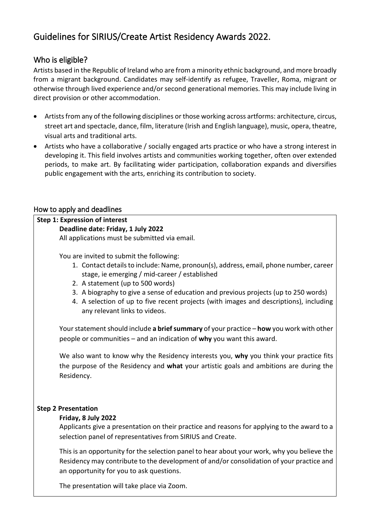# Guidelines for SIRIUS/Create Artist Residency Awards 2022.

### Who is eligible?

Artists based in the Republic of Ireland who are from a minority ethnic background, and more broadly from a migrant background. Candidates may self-identify as refugee, Traveller, Roma, migrant or otherwise through lived experience and/or second generational memories. This may include living in direct provision or other accommodation.

- Artists from any of the following disciplines or those working across artforms: architecture, circus, street art and spectacle, dance, film, literature (Irish and English language), music, opera, theatre, visual arts and traditional arts.
- Artists who have a collaborative / socially engaged arts practice or who have a strong interest in developing it. This field involves artists and communities working together, often over extended periods, to make art. By facilitating wider participation, collaboration expands and diversifies public engagement with the arts, enriching its contribution to society.

### How to apply and deadlines

#### **Step 1: Expression of interest Deadline date: Friday, 1 July 2022**

All applications must be submitted via email.

You are invited to submit the following:

- 1. Contact details to include: Name, pronoun(s), address, email, phone number, career stage, ie emerging / mid-career / established
- 2. A statement (up to 500 words)
- 3. A biography to give a sense of education and previous projects (up to 250 words)
- 4. A selection of up to five recent projects (with images and descriptions), including any relevant links to videos.

Your statement should include **a brief summary** of your practice – **how** you work with other people or communities – and an indication of **why** you want this award.

We also want to know why the Residency interests you, **why** you think your practice fits the purpose of the Residency and **what** your artistic goals and ambitions are during the Residency.

### **Step 2 Presentation**

#### **Friday, 8 July 2022**

Applicants give a presentation on their practice and reasons for applying to the award to a selection panel of representatives from SIRIUS and Create.

This is an opportunity for the selection panel to hear about your work, why you believe the Residency may contribute to the development of and/or consolidation of your practice and an opportunity for you to ask questions.

The presentation will take place via Zoom.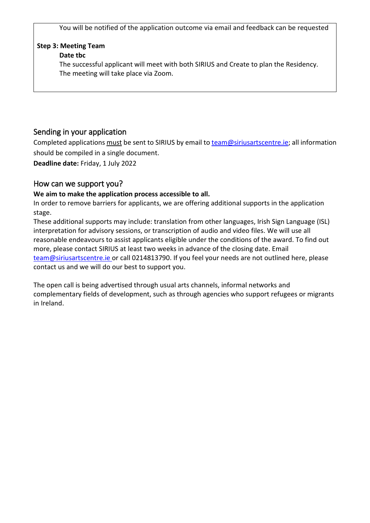You will be notified of the application outcome via email and feedback can be requested

# **Step 3: Meeting Team**

### **Date tbc**

The successful applicant will meet with both SIRIUS and Create to plan the Residency. The meeting will take place via Zoom.

# Sending in your application

Completed applications must be sent to SIRIUS by email to [team@siriusartscentre.ie;](mailto:team@siriusartscentre.ie) all information should be compiled in a single document.

**Deadline date:** Friday, 1 July 2022

## How can we support you?

### **We aim to make the application process accessible to all.**

In order to remove barriers for applicants, we are offering additional supports in the application stage.

These additional supports may include: translation from other languages, Irish Sign Language (ISL) interpretation for advisory sessions, or transcription of audio and video files. We will use all reasonable endeavours to assist applicants eligible under the conditions of the award. To find out more, please contact SIRIUS at least two weeks in advance of the closing date. Email [team@siriusartscentre.ie](mailto:team@siriusartscentre.ie) or call 0214813790. If you feel your needs are not outlined here, please contact us and we will do our best to support you.

The open call is being advertised through usual arts channels, informal networks and complementary fields of development, such as through agencies who support refugees or migrants in Ireland.